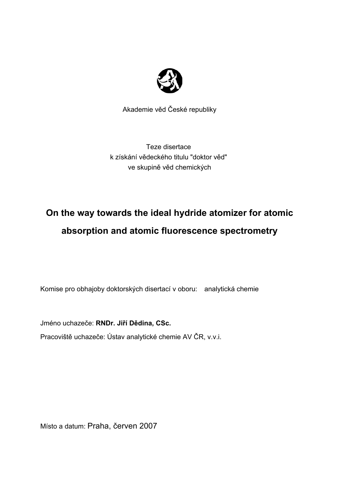

Akademie věd České republiky

Teze disertace k získání vědeckého titulu "doktor věd" ve skupině věd chemických

# **On the way towards the ideal hydride atomizer for atomic absorption and atomic fluorescence spectrometry**

Komise pro obhajoby doktorských disertací v oboru: analytická chemie

Jméno uchazeče: **RNDr. Jiří Dědina, CSc.**

Pracoviště uchazeče: Ústav analytické chemie AV ČR, v.v.i.

Místo a datum: Praha, červen 2007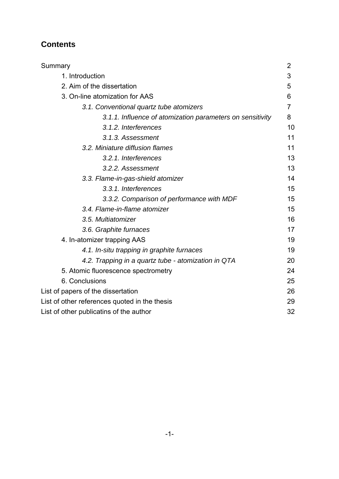# **Contents**

| Summary                                                   | 2  |
|-----------------------------------------------------------|----|
| 1. Introduction                                           | 3  |
| 2. Aim of the dissertation                                | 5  |
| 3. On-line atomization for AAS                            | 6  |
| 3.1. Conventional quartz tube atomizers                   | 7  |
| 3.1.1. Influence of atomization parameters on sensitivity | 8  |
| 3.1.2. Interferences                                      | 10 |
| 3.1.3. Assessment                                         | 11 |
| 3.2. Miniature diffusion flames                           | 11 |
| 3.2.1. Interferences                                      | 13 |
| 3.2.2. Assessment                                         | 13 |
| 3.3. Flame-in-gas-shield atomizer                         | 14 |
| 3.3.1. Interferences                                      | 15 |
| 3.3.2. Comparison of performance with MDF                 | 15 |
| 3.4. Flame-in-flame atomizer                              | 15 |
| 3.5. Multiatomizer                                        | 16 |
| 3.6. Graphite furnaces                                    | 17 |
| 4. In-atomizer trapping AAS                               | 19 |
| 4.1. In-situ trapping in graphite furnaces                | 19 |
| 4.2. Trapping in a quartz tube - atomization in QTA       | 20 |
| 5. Atomic fluorescence spectrometry                       | 24 |
| 6. Conclusions                                            | 25 |
| List of papers of the dissertation                        | 26 |
| List of other references quoted in the thesis             | 29 |
| List of other publicatins of the author                   | 32 |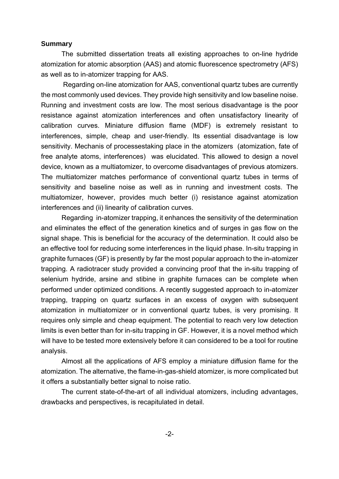#### **Summary**

The submitted dissertation treats all existing approaches to on-line hydride atomization for atomic absorption (AAS) and atomic fluorescence spectrometry (AFS) as well as to in-atomizer trapping for AAS.

 Regarding on-line atomization for AAS, conventional quartz tubes are currently the most commonly used devices. They provide high sensitivity and low baseline noise. Running and investment costs are low. The most serious disadvantage is the poor resistance against atomization interferences and often unsatisfactory linearity of calibration curves. Miniature diffusion flame (MDF) is extremely resistant to interferences, simple, cheap and user-friendly. Its essential disadvantage is low sensitivity. Mechanis of processestaking place in the atomizers (atomization, fate of free analyte atoms, interferences) was elucidated. This allowed to design a novel device, known as a multiatomizer, to overcome disadvantages of previous atomizers. The multiatomizer matches performance of conventional quartz tubes in terms of sensitivity and baseline noise as well as in running and investment costs. The multiatomizer, however, provides much better (i) resistance against atomization interferences and (ii) linearity of calibration curves.

Regarding in-atomizer trapping, it enhances the sensitivity of the determination and eliminates the effect of the generation kinetics and of surges in gas flow on the signal shape. This is beneficial for the accuracy of the determination. It could also be an effective tool for reducing some interferences in the liquid phase. In-situ trapping in graphite furnaces (GF) is presently by far the most popular approach to the in-atomizer trapping. A radiotracer study provided a convincing proof that the in-situ trapping of selenium hydride, arsine and stibine in graphite furnaces can be complete when performed under optimized conditions. A recently suggested approach to in-atomizer trapping, trapping on quartz surfaces in an excess of oxygen with subsequent atomization in multiatomizer or in conventional quartz tubes, is very promising. It requires only simple and cheap equipment. The potential to reach very low detection limits is even better than for in-situ trapping in GF. However, it is a novel method which will have to be tested more extensively before it can considered to be a tool for routine analysis.

Almost all the applications of AFS employ a miniature diffusion flame for the atomization. The alternative, the flame-in-gas-shield atomizer, is more complicated but it offers a substantially better signal to noise ratio.

The current state-of-the-art of all individual atomizers, including advantages, drawbacks and perspectives, is recapitulated in detail.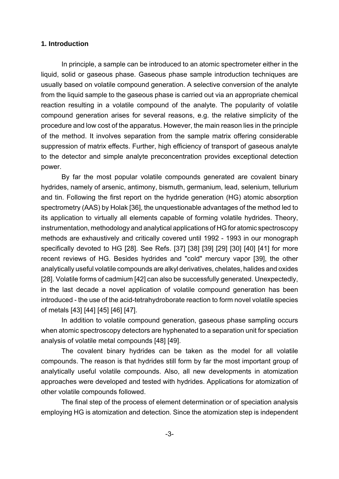#### **1. Introduction**

In principle, a sample can be introduced to an atomic spectrometer either in the liquid, solid or gaseous phase. Gaseous phase sample introduction techniques are usually based on volatile compound generation. A selective conversion of the analyte from the liquid sample to the gaseous phase is carried out via an appropriate chemical reaction resulting in a volatile compound of the analyte. The popularity of volatile compound generation arises for several reasons, e.g. the relative simplicity of the procedure and low cost of the apparatus. However, the main reason lies in the principle of the method. It involves separation from the sample matrix offering considerable suppression of matrix effects. Further, high efficiency of transport of gaseous analyte to the detector and simple analyte preconcentration provides exceptional detection power.

By far the most popular volatile compounds generated are covalent binary hydrides, namely of arsenic, antimony, bismuth, germanium, lead, selenium, tellurium and tin. Following the first report on the hydride generation (HG) atomic absorption spectrometry (AAS) by Holak [36], the unquestionable advantages of the method led to its application to virtually all elements capable of forming volatile hydrides. Theory, instrumentation, methodology and analytical applications of HG for atomic spectroscopy methods are exhaustively and critically covered until 1992 - 1993 in our monograph specifically devoted to HG [28]. See Refs. [37] [38] [39] [29] [30] [40] [41] for more recent reviews of HG. Besides hydrides and "cold" mercury vapor [39], the other analytically useful volatile compounds are alkyl derivatives, chelates, halides and oxides [28]. Volatile forms of cadmium [42] can also be successfully generated. Unexpectedly, in the last decade a novel application of volatile compound generation has been introduced - the use of the acid-tetrahydroborate reaction to form novel volatile species of metals [43] [44] [45] [46] [47].

In addition to volatile compound generation, gaseous phase sampling occurs when atomic spectroscopy detectors are hyphenated to a separation unit for speciation analysis of volatile metal compounds [48] [49].

The covalent binary hydrides can be taken as the model for all volatile compounds. The reason is that hydrides still form by far the most important group of analytically useful volatile compounds. Also, all new developments in atomization approaches were developed and tested with hydrides. Applications for atomization of other volatile compounds followed.

The final step of the process of element determination or of speciation analysis employing HG is atomization and detection. Since the atomization step is independent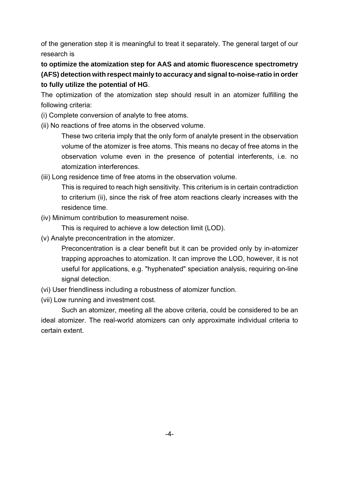of the generation step it is meaningful to treat it separately. The general target of our research is

**to optimize the atomization step for AAS and atomic fluorescence spectrometry (AFS) detection with respect mainly to accuracy and signal to-noise-ratio in order to fully utilize the potential of HG**.

The optimization of the atomization step should result in an atomizer fulfilling the following criteria:

- (i) Complete conversion of analyte to free atoms.
- (ii) No reactions of free atoms in the observed volume.

These two criteria imply that the only form of analyte present in the observation volume of the atomizer is free atoms. This means no decay of free atoms in the observation volume even in the presence of potential interferents, i.e. no atomization interferences.

(iii) Long residence time of free atoms in the observation volume.

This is required to reach high sensitivity. This criterium is in certain contradiction to criterium (ii), since the risk of free atom reactions clearly increases with the residence time.

(iv) Minimum contribution to measurement noise.

This is required to achieve a low detection limit (LOD).

(v) Analyte preconcentration in the atomizer.

Preconcentration is a clear benefit but it can be provided only by in-atomizer trapping approaches to atomization. It can improve the LOD, however, it is not useful for applications, e.g. "hyphenated" speciation analysis, requiring on-line signal detection.

- (vi) User friendliness including a robustness of atomizer function.
- (vii) Low running and investment cost.

Such an atomizer, meeting all the above criteria, could be considered to be an ideal atomizer. The real-world atomizers can only approximate individual criteria to certain extent.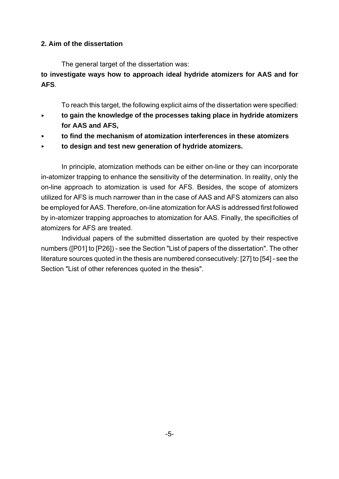#### **2. Aim of the dissertation**

The general target of the dissertation was:

**to investigate ways how to approach ideal hydride atomizers for AAS and for AFS**.

To reach this target, the following explicit aims of the dissertation were specified:

- < **to gain the knowledge of the processes taking place in hydride atomizers for AAS and AFS,**
- < **to find the mechanism of atomization interferences in these atomizers**
- **to design and test new generation of hydride atomizers.**

In principle, atomization methods can be either on-line or they can incorporate in-atomizer trapping to enhance the sensitivity of the determination. In reality, only the on-line approach to atomization is used for AFS. Besides, the scope of atomizers utilized for AFS is much narrower than in the case of AAS and AFS atomizers can also be employed for AAS. Therefore, on-line atomization for AAS is addressed first followed by in-atomizer trapping approaches to atomization for AAS. Finally, the specificities of atomizers for AFS are treated.

Individual papers of the submitted dissertation are quoted by their respective numbers ([P01] to [P26]) - see the Section "List of papers of the dissertation". The other literature sources quoted in the thesis are numbered consecutively: [27] to [54] - see the Section "List of other references quoted in the thesis".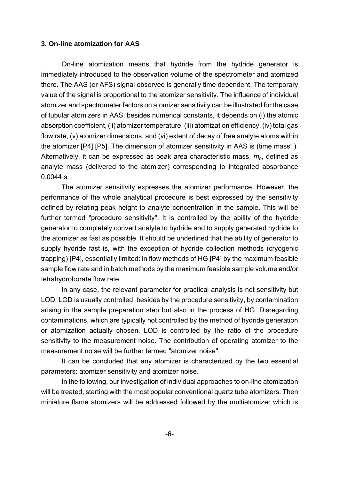#### **3. On-line atomization for AAS**

On-line atomization means that hydride from the hydride generator is immediately introduced to the observation volume of the spectrometer and atomized there. The AAS (or AFS) signal observed is generally time dependent. The temporary value of the signal is proportional to the atomizer sensitivity. The influence of individual atomizer and spectrometer factors on atomizer sensitivity can be illustrated for the case of tubular atomizers in AAS: besides numerical constants, it depends on (i) the atomic absorption coefficient, (ii) atomizer temperature, (iii) atomization efficiency, (iv) total gas flow rate, (v) atomizer dimensions, and (vi) extent of decay of free analyte atoms within the atomizer  $[P4]$   $[P5]$ . The dimension of atomizer sensitivity in AAS is (time mass<sup>-1</sup>). Alternatively, it can be expressed as peak area characteristic mass,  $m<sub>o</sub>$ , defined as analyte mass (delivered to the atomizer) corresponding to integrated absorbance 0.0044 s.

The atomizer sensitivity expresses the atomizer performance. However, the performance of the whole analytical procedure is best expressed by the sensitivity defined by relating peak height to analyte concentration in the sample. This will be further termed "procedure sensitivity". It is controlled by the ability of the hydride generator to completely convert analyte to hydride and to supply generated hydride to the atomizer as fast as possible. It should be underlined that the ability of generator to supply hydride fast is, with the exception of hydride collection methods (cryogenic trapping) [P4], essentially limited: in flow methods of HG [P4] by the maximum feasible sample flow rate and in batch methods by the maximum feasible sample volume and/or tetrahydroborate flow rate.

In any case, the relevant parameter for practical analysis is not sensitivity but LOD. LOD is usually controlled, besides by the procedure sensitivity, by contamination arising in the sample preparation step but also in the process of HG. Disregarding contaminations, which are typically not controlled by the method of hydride generation or atomization actually chosen, LOD is controlled by the ratio of the procedure sensitivity to the measurement noise. The contribution of operating atomizer to the measurement noise will be further termed "atomizer noise".

It can be concluded that any atomizer is characterized by the two essential parameters: atomizer sensitivity and atomizer noise.

In the following, our investigation of individual approaches to on-line atomization will be treated, starting with the most popular conventional quartz tube atomizers. Then miniature flame atomizers will be addressed followed by the multiatomizer which is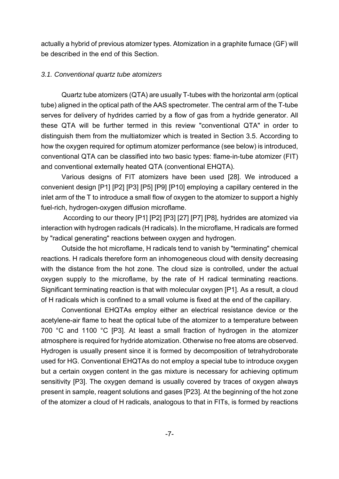actually a hybrid of previous atomizer types. Atomization in a graphite furnace (GF) will be described in the end of this Section.

#### *3.1. Conventional quartz tube atomizers*

Quartz tube atomizers (QTA) are usually T-tubes with the horizontal arm (optical tube) aligned in the optical path of the AAS spectrometer. The central arm of the T-tube serves for delivery of hydrides carried by a flow of gas from a hydride generator. All these QTA will be further termed in this review "conventional QTA" in order to distinguish them from the multiatomizer which is treated in Section 3.5. According to how the oxygen required for optimum atomizer performance (see below) is introduced, conventional QTA can be classified into two basic types: flame-in-tube atomizer (FIT) and conventional externally heated QTA (conventional EHQTA).

Various designs of FIT atomizers have been used [28]. We introduced a convenient design [P1] [P2] [P3] [P5] [P9] [P10] employing a capillary centered in the inlet arm of the T to introduce a small flow of oxygen to the atomizer to support a highly fuel-rich, hydrogen-oxygen diffusion microflame.

 According to our theory [P1] [P2] [P3] [27] [P7] [P8], hydrides are atomized via interaction with hydrogen radicals (H radicals). In the microflame, H radicals are formed by "radical generating" reactions between oxygen and hydrogen.

Outside the hot microflame, H radicals tend to vanish by "terminating" chemical reactions. H radicals therefore form an inhomogeneous cloud with density decreasing with the distance from the hot zone. The cloud size is controlled, under the actual oxygen supply to the microflame, by the rate of H radical terminating reactions. Significant terminating reaction is that with molecular oxygen [P1]. As a result, a cloud of H radicals which is confined to a small volume is fixed at the end of the capillary.

Conventional EHQTAs employ either an electrical resistance device or the acetylene-air flame to heat the optical tube of the atomizer to a temperature between 700 °C and 1100 °C [P3]. At least a small fraction of hydrogen in the atomizer atmosphere is required for hydride atomization. Otherwise no free atoms are observed. Hydrogen is usually present since it is formed by decomposition of tetrahydroborate used for HG. Conventional EHQTAs do not employ a special tube to introduce oxygen but a certain oxygen content in the gas mixture is necessary for achieving optimum sensitivity [P3]. The oxygen demand is usually covered by traces of oxygen always present in sample, reagent solutions and gases [P23]. At the beginning of the hot zone of the atomizer a cloud of H radicals, analogous to that in FITs, is formed by reactions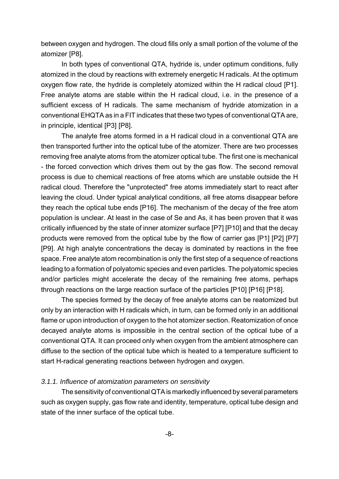between oxygen and hydrogen. The cloud fills only a small portion of the volume of the atomizer [P8].

In both types of conventional QTA, hydride is, under optimum conditions, fully atomized in the cloud by reactions with extremely energetic H radicals. At the optimum oxygen flow rate, the hydride is completely atomized within the H radical cloud [P1]. Free analyte atoms are stable within the H radical cloud, i.e. in the presence of a sufficient excess of H radicals. The same mechanism of hydride atomization in a conventional EHQTA as in a FIT indicates that these two types of conventional QTA are, in principle, identical [P3] [P8].

The analyte free atoms formed in a H radical cloud in a conventional QTA are then transported further into the optical tube of the atomizer. There are two processes removing free analyte atoms from the atomizer optical tube. The first one is mechanical - the forced convection which drives them out by the gas flow. The second removal process is due to chemical reactions of free atoms which are unstable outside the H radical cloud. Therefore the "unprotected" free atoms immediately start to react after leaving the cloud. Under typical analytical conditions, all free atoms disappear before they reach the optical tube ends [P16]. The mechanism of the decay of the free atom population is unclear. At least in the case of Se and As, it has been proven that it was critically influenced by the state of inner atomizer surface [P7] [P10] and that the decay products were removed from the optical tube by the flow of carrier gas [P1] [P2] [P7] [P9]. At high analyte concentrations the decay is dominated by reactions in the free space. Free analyte atom recombination is only the first step of a sequence of reactions leading to a formation of polyatomic species and even particles. The polyatomic species and/or particles might accelerate the decay of the remaining free atoms, perhaps through reactions on the large reaction surface of the particles [P10] [P16] [P18].

The species formed by the decay of free analyte atoms can be reatomized but only by an interaction with H radicals which, in turn, can be formed only in an additional flame or upon introduction of oxygen to the hot atomizer section. Reatomization of once decayed analyte atoms is impossible in the central section of the optical tube of a conventional QTA. It can proceed only when oxygen from the ambient atmosphere can diffuse to the section of the optical tube which is heated to a temperature sufficient to start H-radical generating reactions between hydrogen and oxygen.

#### *3.1.1. Influence of atomization parameters on sensitivity*

The sensitivity of conventional QTA is markedly influenced by several parameters such as oxygen supply, gas flow rate and identity, temperature, optical tube design and state of the inner surface of the optical tube.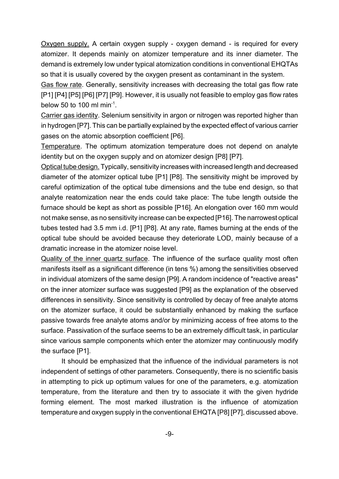Oxygen supply. A certain oxygen supply - oxygen demand - is required for every atomizer. It depends mainly on atomizer temperature and its inner diameter. The demand is extremely low under typical atomization conditions in conventional EHQTAs so that it is usually covered by the oxygen present as contaminant in the system.

Gas flow rate. Generally, sensitivity increases with decreasing the total gas flow rate [P1] [P4] [P5] [P6] [P7] [P9]. However, it is usually not feasible to employ gas flow rates below 50 to 100 ml min<sup>-1</sup>.

Carrier gas identity. Selenium sensitivity in argon or nitrogen was reported higher than in hydrogen [P7]. This can be partially explained by the expected effect of various carrier gases on the atomic absorption coefficient [P6].

Temperature. The optimum atomization temperature does not depend on analyte identity but on the oxygen supply and on atomizer design [P8] [P7].

Optical tube design. Typically, sensitivity increases with increased length and decreased diameter of the atomizer optical tube [P1] [P8]. The sensitivity might be improved by careful optimization of the optical tube dimensions and the tube end design, so that analyte reatomization near the ends could take place: The tube length outside the furnace should be kept as short as possible [P16]. An elongation over 160 mm would not make sense, as no sensitivity increase can be expected [P16]. The narrowest optical tubes tested had 3.5 mm i.d. [P1] [P8]. At any rate, flames burning at the ends of the optical tube should be avoided because they deteriorate LOD, mainly because of a dramatic increase in the atomizer noise level.

Quality of the inner quartz surface. The influence of the surface quality most often manifests itself as a significant difference (in tens %) among the sensitivities observed in individual atomizers of the same design [P9]. A random incidence of "reactive areas" on the inner atomizer surface was suggested [P9] as the explanation of the observed differences in sensitivity. Since sensitivity is controlled by decay of free analyte atoms on the atomizer surface, it could be substantially enhanced by making the surface passive towards free analyte atoms and/or by minimizing access of free atoms to the surface. Passivation of the surface seems to be an extremely difficult task, in particular since various sample components which enter the atomizer may continuously modify the surface [P1].

It should be emphasized that the influence of the individual parameters is not independent of settings of other parameters. Consequently, there is no scientific basis in attempting to pick up optimum values for one of the parameters, e.g. atomization temperature, from the literature and then try to associate it with the given hydride forming element. The most marked illustration is the influence of atomization temperature and oxygen supply in the conventional EHQTA [P8] [P7], discussed above.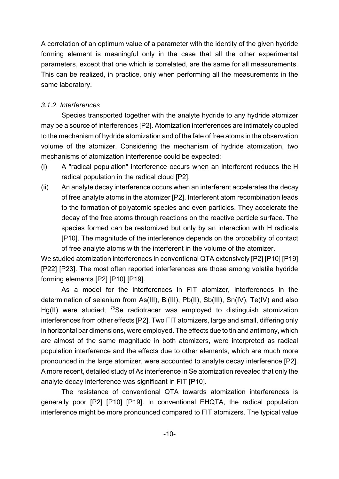A correlation of an optimum value of a parameter with the identity of the given hydride forming element is meaningful only in the case that all the other experimental parameters, except that one which is correlated, are the same for all measurements. This can be realized, in practice, only when performing all the measurements in the same laboratory.

#### *3.1.2. Interferences*

Species transported together with the analyte hydride to any hydride atomizer may be a source of interferences [P2]. Atomization interferences are intimately coupled to the mechanism of hydride atomization and of the fate of free atoms in the observation volume of the atomizer. Considering the mechanism of hydride atomization, two mechanisms of atomization interference could be expected:

- (i) A "radical population" interference occurs when an interferent reduces the H radical population in the radical cloud [P2].
- (ii) An analyte decay interference occurs when an interferent accelerates the decay of free analyte atoms in the atomizer [P2]. Interferent atom recombination leads to the formation of polyatomic species and even particles. They accelerate the decay of the free atoms through reactions on the reactive particle surface. The species formed can be reatomized but only by an interaction with H radicals [P10]. The magnitude of the interference depends on the probability of contact of free analyte atoms with the interferent in the volume of the atomizer.

We studied atomization interferences in conventional QTA extensively [P2] [P10] [P19] [P22] [P23]. The most often reported interferences are those among volatile hydride forming elements [P2] [P10] [P19].

As a model for the interferences in FIT atomizer, interferences in the determination of selenium from As(III), Bi(III), Pb(II), Sb(III), Sn(IV), Te(IV) and also Hg(II) were studied: <sup>75</sup>Se radiotracer was emploved to distinguish atomization interferences from other effects [P2]. Two FIT atomizers, large and small, differing only in horizontal bar dimensions, were employed. The effects due to tin and antimony, which are almost of the same magnitude in both atomizers, were interpreted as radical population interference and the effects due to other elements, which are much more pronounced in the large atomizer, were accounted to analyte decay interference [P2]. A more recent, detailed study of As interference in Se atomization revealed that only the analyte decay interference was significant in FIT [P10].

The resistance of conventional QTA towards atomization interferences is generally poor [P2] [P10] [P19]. In conventional EHQTA, the radical population interference might be more pronounced compared to FIT atomizers. The typical value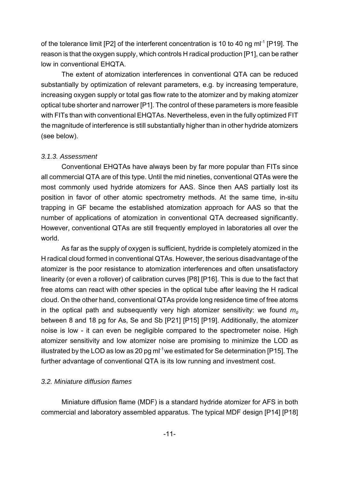of the tolerance limit  $[P2]$  of the interferent concentration is 10 to 40 ng m $I<sup>-1</sup>$   $[P19]$ . The reason is that the oxygen supply, which controls H radical production [P1], can be rather low in conventional EHQTA.

The extent of atomization interferences in conventional QTA can be reduced substantially by optimization of relevant parameters, e.g. by increasing temperature, increasing oxygen supply or total gas flow rate to the atomizer and by making atomizer optical tube shorter and narrower [P1]. The control of these parameters is more feasible with FITs than with conventional EHQTAs. Nevertheless, even in the fully optimized FIT the magnitude of interference is still substantially higher than in other hydride atomizers (see below).

#### *3.1.3. Assessment*

Conventional EHQTAs have always been by far more popular than FITs since all commercial QTA are of this type. Until the mid nineties, conventional QTAs were the most commonly used hydride atomizers for AAS. Since then AAS partially lost its position in favor of other atomic spectrometry methods. At the same time, in-situ trapping in GF became the established atomization approach for AAS so that the number of applications of atomization in conventional QTA decreased significantly. However, conventional QTAs are still frequently employed in laboratories all over the world.

As far as the supply of oxygen is sufficient, hydride is completely atomized in the H radical cloud formed in conventional QTAs. However, the serious disadvantage of the atomizer is the poor resistance to atomization interferences and often unsatisfactory linearity (or even a rollover) of calibration curves [P8] [P16]. This is due to the fact that free atoms can react with other species in the optical tube after leaving the H radical cloud. On the other hand, conventional QTAs provide long residence time of free atoms in the optical path and subsequently very high atomizer sensitivity: we found  $m<sub>o</sub>$ between 8 and 18 pg for As, Se and Sb [P21] [P15] [P19]. Additionally, the atomizer noise is low - it can even be negligible compared to the spectrometer noise. High atomizer sensitivity and low atomizer noise are promising to minimize the LOD as illustrated by the LOD as low as 20 pg  $ml^{-1}$  we estimated for Se determination [P15]. The further advantage of conventional QTA is its low running and investment cost.

#### *3.2. Miniature diffusion flames*

Miniature diffusion flame (MDF) is a standard hydride atomizer for AFS in both commercial and laboratory assembled apparatus. The typical MDF design [P14] [P18]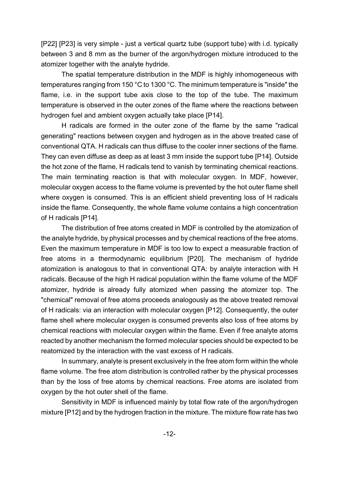[P22] [P23] is very simple - just a vertical quartz tube (support tube) with i.d. typically between 3 and 8 mm as the burner of the argon/hydrogen mixture introduced to the atomizer together with the analyte hydride.

The spatial temperature distribution in the MDF is highly inhomogeneous with temperatures ranging from 150 °C to 1300 °C. The minimum temperature is "inside" the flame, i.e. in the support tube axis close to the top of the tube. The maximum temperature is observed in the outer zones of the flame where the reactions between hydrogen fuel and ambient oxygen actually take place [P14].

H radicals are formed in the outer zone of the flame by the same "radical generating" reactions between oxygen and hydrogen as in the above treated case of conventional QTA. H radicals can thus diffuse to the cooler inner sections of the flame. They can even diffuse as deep as at least 3 mm inside the support tube [P14]. Outside the hot zone of the flame, H radicals tend to vanish by terminating chemical reactions. The main terminating reaction is that with molecular oxygen. In MDF, however, molecular oxygen access to the flame volume is prevented by the hot outer flame shell where oxygen is consumed. This is an efficient shield preventing loss of H radicals inside the flame. Consequently, the whole flame volume contains a high concentration of H radicals [P14].

The distribution of free atoms created in MDF is controlled by the atomization of the analyte hydride, by physical processes and by chemical reactions of the free atoms. Even the maximum temperature in MDF is too low to expect a measurable fraction of free atoms in a thermodynamic equilibrium [P20]. The mechanism of hydride atomization is analogous to that in conventional QTA: by analyte interaction with H radicals. Because of the high H radical population within the flame volume of the MDF atomizer, hydride is already fully atomized when passing the atomizer top. The "chemical" removal of free atoms proceeds analogously as the above treated removal of H radicals: via an interaction with molecular oxygen [P12]. Consequently, the outer flame shell where molecular oxygen is consumed prevents also loss of free atoms by chemical reactions with molecular oxygen within the flame. Even if free analyte atoms reacted by another mechanism the formed molecular species should be expected to be reatomized by the interaction with the vast excess of H radicals.

In summary, analyte is present exclusively in the free atom form within the whole flame volume. The free atom distribution is controlled rather by the physical processes than by the loss of free atoms by chemical reactions. Free atoms are isolated from oxygen by the hot outer shell of the flame.

Sensitivity in MDF is influenced mainly by total flow rate of the argon/hydrogen mixture [P12] and by the hydrogen fraction in the mixture. The mixture flow rate has two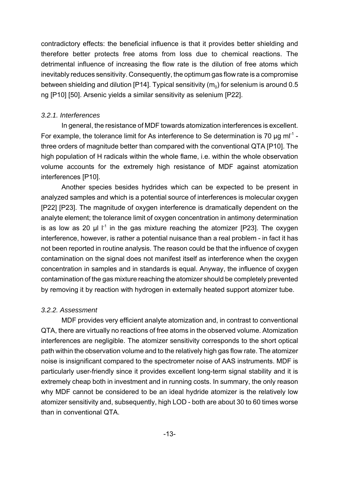contradictory effects: the beneficial influence is that it provides better shielding and therefore better protects free atoms from loss due to chemical reactions. The detrimental influence of increasing the flow rate is the dilution of free atoms which inevitably reduces sensitivity. Consequently, the optimum gas flow rate is a compromise between shielding and dilution [P14]. Typical sensitivity  $(m_0)$  for selenium is around 0.5 ng [P10] [50]. Arsenic yields a similar sensitivity as selenium [P22].

#### *3.2.1. Interferences*

In general, the resistance of MDF towards atomization interferences is excellent. For example, the tolerance limit for As interference to Se determination is 70  $\mu$ g m $l^{-1}$  three orders of magnitude better than compared with the conventional QTA [P10]. The high population of H radicals within the whole flame, i.e. within the whole observation volume accounts for the extremely high resistance of MDF against atomization interferences [P10].

Another species besides hydrides which can be expected to be present in analyzed samples and which is a potential source of interferences is molecular oxygen [P22] [P23]. The magnitude of oxygen interference is dramatically dependent on the analyte element; the tolerance limit of oxygen concentration in antimony determination is as low as 20  $\mu$  l  $1<sup>1</sup>$  in the gas mixture reaching the atomizer [P23]. The oxygen interference, however, is rather a potential nuisance than a real problem - in fact it has not been reported in routine analysis. The reason could be that the influence of oxygen contamination on the signal does not manifest itself as interference when the oxygen concentration in samples and in standards is equal. Anyway, the influence of oxygen contamination of the gas mixture reaching the atomizer should be completely prevented by removing it by reaction with hydrogen in externally heated support atomizer tube.

#### *3.2.2. Assessment*

MDF provides very efficient analyte atomization and, in contrast to conventional QTA, there are virtually no reactions of free atoms in the observed volume. Atomization interferences are negligible. The atomizer sensitivity corresponds to the short optical path within the observation volume and to the relatively high gas flow rate. The atomizer noise is insignificant compared to the spectrometer noise of AAS instruments. MDF is particularly user-friendly since it provides excellent long-term signal stability and it is extremely cheap both in investment and in running costs. In summary, the only reason why MDF cannot be considered to be an ideal hydride atomizer is the relatively low atomizer sensitivity and, subsequently, high LOD - both are about 30 to 60 times worse than in conventional QTA.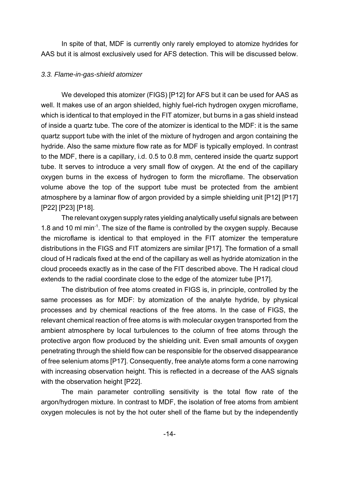In spite of that, MDF is currently only rarely employed to atomize hydrides for AAS but it is almost exclusively used for AFS detection. This will be discussed below.

#### *3.3. Flame-in-gas-shield atomizer*

We developed this atomizer (FIGS) [P12] for AFS but it can be used for AAS as well. It makes use of an argon shielded, highly fuel-rich hydrogen oxygen microflame, which is identical to that employed in the FIT atomizer, but burns in a gas shield instead of inside a quartz tube. The core of the atomizer is identical to the MDF: it is the same quartz support tube with the inlet of the mixture of hydrogen and argon containing the hydride. Also the same mixture flow rate as for MDF is typically employed. In contrast to the MDF, there is a capillary, i.d. 0.5 to 0.8 mm, centered inside the quartz support tube. It serves to introduce a very small flow of oxygen. At the end of the capillary oxygen burns in the excess of hydrogen to form the microflame. The observation volume above the top of the support tube must be protected from the ambient atmosphere by a laminar flow of argon provided by a simple shielding unit [P12] [P17] [P22] [P23] [P18].

The relevant oxygen supply rates yielding analytically useful signals are between 1.8 and 10 ml min-1. The size of the flame is controlled by the oxygen supply. Because the microflame is identical to that employed in the FIT atomizer the temperature distributions in the FIGS and FIT atomizers are similar [P17]. The formation of a small cloud of H radicals fixed at the end of the capillary as well as hydride atomization in the cloud proceeds exactly as in the case of the FIT described above. The H radical cloud extends to the radial coordinate close to the edge of the atomizer tube [P17].

The distribution of free atoms created in FIGS is, in principle, controlled by the same processes as for MDF: by atomization of the analyte hydride, by physical processes and by chemical reactions of the free atoms. In the case of FIGS, the relevant chemical reaction of free atoms is with molecular oxygen transported from the ambient atmosphere by local turbulences to the column of free atoms through the protective argon flow produced by the shielding unit. Even small amounts of oxygen penetrating through the shield flow can be responsible for the observed disappearance of free selenium atoms [P17]. Consequently, free analyte atoms form a cone narrowing with increasing observation height. This is reflected in a decrease of the AAS signals with the observation height [P22].

The main parameter controlling sensitivity is the total flow rate of the argon/hydrogen mixture. In contrast to MDF, the isolation of free atoms from ambient oxygen molecules is not by the hot outer shell of the flame but by the independently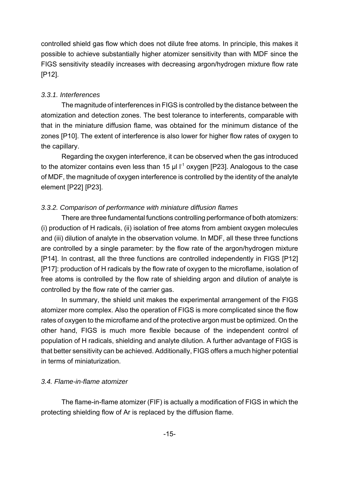controlled shield gas flow which does not dilute free atoms. In principle, this makes it possible to achieve substantially higher atomizer sensitivity than with MDF since the FIGS sensitivity steadily increases with decreasing argon/hydrogen mixture flow rate [P12].

#### *3.3.1. Interferences*

The magnitude of interferences in FIGS is controlled by the distance between the atomization and detection zones. The best tolerance to interferents, comparable with that in the miniature diffusion flame, was obtained for the minimum distance of the zones [P10]. The extent of interference is also lower for higher flow rates of oxygen to the capillary.

Regarding the oxygen interference, it can be observed when the gas introduced to the atomizer contains even less than 15  $\mu$ l l<sup>-1</sup> oxygen [P23]. Analogous to the case of MDF, the magnitude of oxygen interference is controlled by the identity of the analyte element [P22] [P23].

## *3.3.2. Comparison of performance with miniature diffusion flames*

There are three fundamental functions controlling performance of both atomizers: (i) production of H radicals, (ii) isolation of free atoms from ambient oxygen molecules and (iii) dilution of analyte in the observation volume. In MDF, all these three functions are controlled by a single parameter: by the flow rate of the argon/hydrogen mixture [P14]. In contrast, all the three functions are controlled independently in FIGS [P12] [P17]: production of H radicals by the flow rate of oxygen to the microflame, isolation of free atoms is controlled by the flow rate of shielding argon and dilution of analyte is controlled by the flow rate of the carrier gas.

In summary, the shield unit makes the experimental arrangement of the FIGS atomizer more complex. Also the operation of FIGS is more complicated since the flow rates of oxygen to the microflame and of the protective argon must be optimized. On the other hand, FIGS is much more flexible because of the independent control of population of H radicals, shielding and analyte dilution. A further advantage of FIGS is that better sensitivity can be achieved. Additionally, FIGS offers a much higher potential in terms of miniaturization.

#### *3.4. Flame-in-flame atomizer*

The flame-in-flame atomizer (FIF) is actually a modification of FIGS in which the protecting shielding flow of Ar is replaced by the diffusion flame.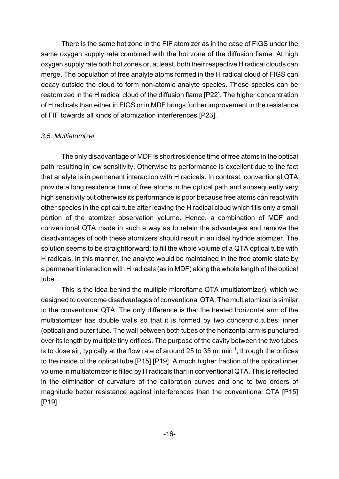There is the same hot zone in the FIF atomizer as in the case of FIGS under the same oxygen supply rate combined with the hot zone of the diffusion flame. At high oxygen supply rate both hot zones or, at least, both their respective H radical clouds can merge. The population of free analyte atoms formed in the H radical cloud of FIGS can decay outside the cloud to form non-atomic analyte species. These species can be reatomized in the H radical cloud of the diffusion flame [P22]. The higher concentration of H radicals than either in FIGS or in MDF brings further improvement in the resistance of FIF towards all kinds of atomization interferences [P23].

#### *3.5. Multiatomizer*

The only disadvantage of MDF is short residence time of free atoms in the optical path resulting in low sensitivity. Otherwise its performance is excellent due to the fact that analyte is in permanent interaction with H radicals. In contrast, conventional QTA provide a long residence time of free atoms in the optical path and subsequently very high sensitivity but otherwise its performance is poor because free atoms can react with other species in the optical tube after leaving the H radical cloud which fills only a small portion of the atomizer observation volume. Hence, a combination of MDF and conventional QTA made in such a way as to retain the advantages and remove the disadvantages of both these atomizers should result in an ideal hydride atomizer. The solution seems to be straightforward: to fill the whole volume of a QTA optical tube with H radicals. In this manner, the analyte would be maintained in the free atomic state by a permanent interaction with H radicals (as in MDF) along the whole length of the optical tube.

This is the idea behind the multiple microflame QTA (multiatomizer), which we designed to overcome disadvantages of conventional QTA. The multiatomizer is similar to the conventional QTA. The only difference is that the heated horizontal arm of the multiatomizer has double walls so that it is formed by two concentric tubes: inner (optical) and outer tube. The wall between both tubes of the horizontal arm is punctured over its length by multiple tiny orifices. The purpose of the cavity between the two tubes is to dose air, typically at the flow rate of around 25 to 35 ml min<sup>-1</sup>, through the orifices to the inside of the optical tube [P15] [P19]. A much higher fraction of the optical inner volume in multiatomizer is filled by H radicals than in conventional QTA. This is reflected in the elimination of curvature of the calibration curves and one to two orders of magnitude better resistance against interferences than the conventional QTA [P15] [P19].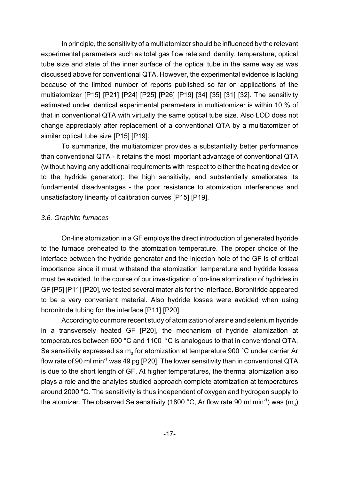In principle, the sensitivity of a multiatomizer should be influenced by the relevant experimental parameters such as total gas flow rate and identity, temperature, optical tube size and state of the inner surface of the optical tube in the same way as was discussed above for conventional QTA. However, the experimental evidence is lacking because of the limited number of reports published so far on applications of the multiatomizer [P15] [P21] [P24] [P25] [P26] [P19] [34] [35] [31] [32]. The sensitivity estimated under identical experimental parameters in multiatomizer is within 10 % of that in conventional QTA with virtually the same optical tube size. Also LOD does not change appreciably after replacement of a conventional QTA by a multiatomizer of similar optical tube size [P15] [P19].

To summarize, the multiatomizer provides a substantially better performance than conventional QTA - it retains the most important advantage of conventional QTA (without having any additional requirements with respect to either the heating device or to the hydride generator): the high sensitivity, and substantially ameliorates its fundamental disadvantages - the poor resistance to atomization interferences and unsatisfactory linearity of calibration curves [P15] [P19].

#### *3.6. Graphite furnaces*

On-line atomization in a GF employs the direct introduction of generated hydride to the furnace preheated to the atomization temperature. The proper choice of the interface between the hydride generator and the injection hole of the GF is of critical importance since it must withstand the atomization temperature and hydride losses must be avoided. In the course of our investigation of on-line atomization of hydrides in GF [P5] [P11] [P20], we tested several materials for the interface. Boronitride appeared to be a very convenient material. Also hydride losses were avoided when using boronitride tubing for the interface [P11] [P20].

According to our more recent study of atomization of arsine and selenium hydride in a transversely heated GF [P20], the mechanism of hydride atomization at temperatures between 600 °C and 1100 °C is analogous to that in conventional QTA. Se sensitivity expressed as  $m_0$  for atomization at temperature 900 °C under carrier Ar flow rate of 90 ml min<sup>-1</sup> was 49 pg [P20]. The lower sensitivity than in conventional QTA is due to the short length of GF. At higher temperatures, the thermal atomization also plays a role and the analytes studied approach complete atomization at temperatures around 2000 °C. The sensitivity is thus independent of oxygen and hydrogen supply to the atomizer. The observed Se sensitivity (1800 °C, Ar flow rate 90 ml min<sup>-1</sup>) was  $(m_0)$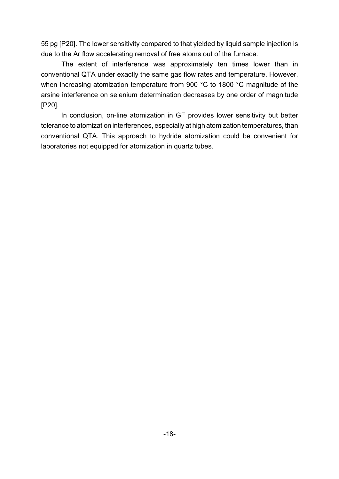55 pg [P20]. The lower sensitivity compared to that yielded by liquid sample injection is due to the Ar flow accelerating removal of free atoms out of the furnace.

The extent of interference was approximately ten times lower than in conventional QTA under exactly the same gas flow rates and temperature. However, when increasing atomization temperature from 900 °C to 1800 °C magnitude of the arsine interference on selenium determination decreases by one order of magnitude [P20].

In conclusion, on-line atomization in GF provides lower sensitivity but better tolerance to atomization interferences, especially at high atomization temperatures, than conventional QTA. This approach to hydride atomization could be convenient for laboratories not equipped for atomization in quartz tubes.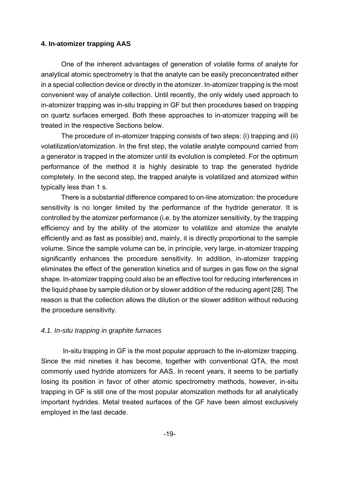#### **4. In-atomizer trapping AAS**

One of the inherent advantages of generation of volatile forms of analyte for analytical atomic spectrometry is that the analyte can be easily preconcentrated either in a special collection device or directly in the atomizer. In-atomizer trapping is the most convenient way of analyte collection. Until recently, the only widely used approach to in-atomizer trapping was in-situ trapping in GF but then procedures based on trapping on quartz surfaces emerged. Both these approaches to in-atomizer trapping will be treated in the respective Sections below.

The procedure of in-atomizer trapping consists of two steps: (i) trapping and (ii) volatilization/atomization. In the first step, the volatile analyte compound carried from a generator is trapped in the atomizer until its evolution is completed. For the optimum performance of the method it is highly desirable to trap the generated hydride completely. In the second step, the trapped analyte is volatilized and atomized within typically less than 1 s.

There is a substantial difference compared to on-line atomization: the procedure sensitivity is no longer limited by the performance of the hydride generator. It is controlled by the atomizer performance (i.e. by the atomizer sensitivity, by the trapping efficiency and by the ability of the atomizer to volatilize and atomize the analyte efficiently and as fast as possible) and, mainly, it is directly proportional to the sample volume. Since the sample volume can be, in principle, very large, in-atomizer trapping significantly enhances the procedure sensitivity. In addition, in-atomizer trapping eliminates the effect of the generation kinetics and of surges in gas flow on the signal shape. In-atomizer trapping could also be an effective tool for reducing interferences in the liquid phase by sample dilution or by slower addition of the reducing agent [28]. The reason is that the collection allows the dilution or the slower addition without reducing the procedure sensitivity.

#### *4.1. In-situ trapping in graphite furnaces*

 In-situ trapping in GF is the most popular approach to the in-atomizer trapping. Since the mid nineties it has become, together with conventional QTA, the most commonly used hydride atomizers for AAS. In recent years, it seems to be partially losing its position in favor of other atomic spectrometry methods, however, in-situ trapping in GF is still one of the most popular atomization methods for all analytically important hydrides. Metal treated surfaces of the GF have been almost exclusively employed in the last decade.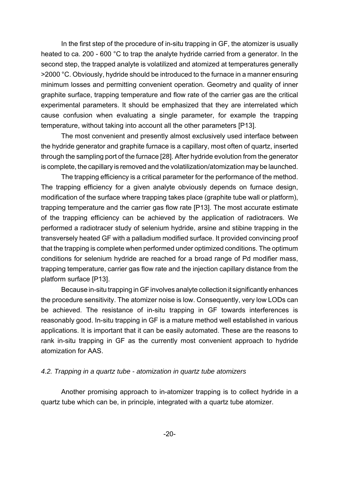In the first step of the procedure of in-situ trapping in GF, the atomizer is usually heated to ca. 200 - 600 °C to trap the analyte hydride carried from a generator. In the second step, the trapped analyte is volatilized and atomized at temperatures generally >2000 °C. Obviously, hydride should be introduced to the furnace in a manner ensuring minimum losses and permitting convenient operation. Geometry and quality of inner graphite surface, trapping temperature and flow rate of the carrier gas are the critical experimental parameters. It should be emphasized that they are interrelated which cause confusion when evaluating a single parameter, for example the trapping temperature, without taking into account all the other parameters [P13].

The most convenient and presently almost exclusively used interface between the hydride generator and graphite furnace is a capillary, most often of quartz, inserted through the sampling port of the furnace [28]. After hydride evolution from the generator is complete, the capillary is removed and the volatilization/atomization may be launched.

The trapping efficiency is a critical parameter for the performance of the method. The trapping efficiency for a given analyte obviously depends on furnace design, modification of the surface where trapping takes place (graphite tube wall or platform), trapping temperature and the carrier gas flow rate [P13]. The most accurate estimate of the trapping efficiency can be achieved by the application of radiotracers. We performed a radiotracer study of selenium hydride, arsine and stibine trapping in the transversely heated GF with a palladium modified surface. It provided convincing proof that the trapping is complete when performed under optimized conditions. The optimum conditions for selenium hydride are reached for a broad range of Pd modifier mass, trapping temperature, carrier gas flow rate and the injection capillary distance from the platform surface [P13].

Because in-situ trapping in GF involves analyte collection it significantly enhances the procedure sensitivity. The atomizer noise is low. Consequently, very low LODs can be achieved. The resistance of in-situ trapping in GF towards interferences is reasonably good. In-situ trapping in GF is a mature method well established in various applications. It is important that it can be easily automated. These are the reasons to rank in-situ trapping in GF as the currently most convenient approach to hydride atomization for AAS.

#### *4.2. Trapping in a quartz tube - atomization in quartz tube atomizers*

Another promising approach to in-atomizer trapping is to collect hydride in a quartz tube which can be, in principle, integrated with a quartz tube atomizer.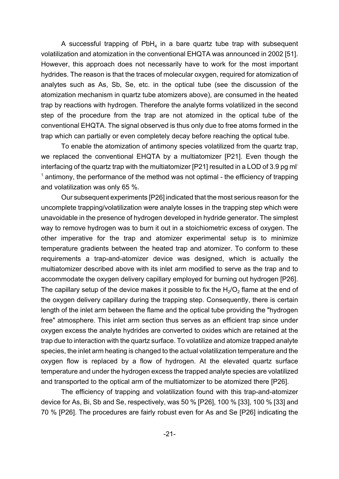A successful trapping of  $PbH_4$  in a bare quartz tube trap with subsequent volatilization and atomization in the conventional EHQTA was announced in 2002 [51]. However, this approach does not necessarily have to work for the most important hydrides. The reason is that the traces of molecular oxygen, required for atomization of analytes such as As, Sb, Se, etc. in the optical tube (see the discussion of the atomization mechanism in quartz tube atomizers above), are consumed in the heated trap by reactions with hydrogen. Therefore the analyte forms volatilized in the second step of the procedure from the trap are not atomized in the optical tube of the conventional EHQTA. The signal observed is thus only due to free atoms formed in the trap which can partially or even completely decay before reaching the optical tube.

To enable the atomization of antimony species volatilized from the quartz trap, we replaced the conventional EHQTA by a multiatomizer [P21]. Even though the interfacing of the quartz trap with the multiatomizer [P21] resulted in a LOD of 3.9 pg ml  $<sup>1</sup>$  antimony, the performance of the method was not optimal - the efficiency of trapping</sup> and volatilization was only 65 %.

 Our subsequent experiments [P26] indicated that the most serious reason for the uncomplete trapping/volatilization were analyte losses in the trapping step which were unavoidable in the presence of hydrogen developed in hydride generator. The simplest way to remove hydrogen was to burn it out in a stoichiometric excess of oxygen. The other imperative for the trap and atomizer experimental setup is to minimize temperature gradients between the heated trap and atomizer. To conform to these requirements a trap-and-atomizer device was designed, which is actually the multiatomizer described above with its inlet arm modified to serve as the trap and to accommodate the oxygen delivery capillary employed for burning out hydrogen [P26]. The capillary setup of the device makes it possible to fix the  $H_2/O_2$  flame at the end of the oxygen delivery capillary during the trapping step. Consequently, there is certain length of the inlet arm between the flame and the optical tube providing the "hydrogen free" atmosphere. This inlet arm section thus serves as an efficient trap since under oxygen excess the analyte hydrides are converted to oxides which are retained at the trap due to interaction with the quartz surface. To volatilize and atomize trapped analyte species, the inlet arm heating is changed to the actual volatilization temperature and the oxygen flow is replaced by a flow of hydrogen. At the elevated quartz surface temperature and under the hydrogen excess the trapped analyte species are volatilized and transported to the optical arm of the multiatomizer to be atomized there [P26].

The efficiency of trapping and volatilization found with this trap-and-atomizer device for As, Bi, Sb and Se, respectively, was 50 % [P26], 100 % [33], 100 % [33] and 70 % [P26]. The procedures are fairly robust even for As and Se [P26] indicating the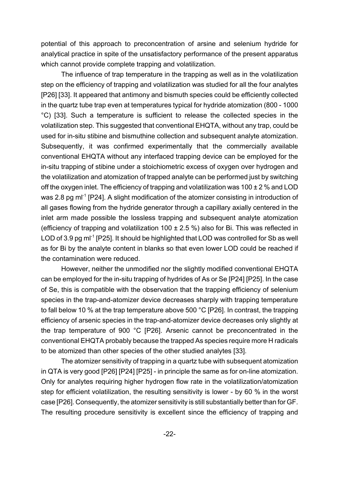potential of this approach to preconcentration of arsine and selenium hydride for analytical practice in spite of the unsatisfactory performance of the present apparatus which cannot provide complete trapping and volatilization.

The influence of trap temperature in the trapping as well as in the volatilization step on the efficiency of trapping and volatilization was studied for all the four analytes [P26] [33]. It appeared that antimony and bismuth species could be efficiently collected in the quartz tube trap even at temperatures typical for hydride atomization (800 - 1000 °C) [33]. Such a temperature is sufficient to release the collected species in the volatilization step. This suggested that conventional EHQTA, without any trap, could be used for in-situ stibine and bismuthine collection and subsequent analyte atomization. Subsequently, it was confirmed experimentally that the commercially available conventional EHQTA without any interfaced trapping device can be employed for the in-situ trapping of stibine under a stoichiometric excess of oxygen over hydrogen and the volatilization and atomization of trapped analyte can be performed just by switching off the oxygen inlet. The efficiency of trapping and volatilization was  $100 \pm 2$  % and LOD was 2.8 pg m<sup>-1</sup> [P24]. A slight modification of the atomizer consisting in introduction of all gases flowing from the hydride generator through a capillary axially centered in the inlet arm made possible the lossless trapping and subsequent analyte atomization (efficiency of trapping and volatilization 100  $\pm$  2.5 %) also for Bi. This was reflected in LOD of 3.9 pg m<sup>-1</sup> [P25]. It should be highlighted that LOD was controlled for Sb as well as for Bi by the analyte content in blanks so that even lower LOD could be reached if the contamination were reduced.

However, neither the unmodified nor the slightly modified conventional EHQTA can be employed for the in-situ trapping of hydrides of As or Se [P24] [P25]. In the case of Se, this is compatible with the observation that the trapping efficiency of selenium species in the trap-and-atomizer device decreases sharply with trapping temperature to fall below 10 % at the trap temperature above 500 °C [P26]. In contrast, the trapping efficiency of arsenic species in the trap-and-atomizer device decreases only slightly at the trap temperature of 900 °C [P26]. Arsenic cannot be preconcentrated in the conventional EHQTA probably because the trapped As species require more H radicals to be atomized than other species of the other studied analytes [33].

The atomizer sensitivity of trapping in a quartz tube with subsequent atomization in QTA is very good [P26] [P24] [P25] - in principle the same as for on-line atomization. Only for analytes requiring higher hydrogen flow rate in the volatilization/atomization step for efficient volatilization, the resulting sensitivity is lower - by 60 % in the worst case [P26]. Consequently, the atomizer sensitivity is still substantially better than for GF. The resulting procedure sensitivity is excellent since the efficiency of trapping and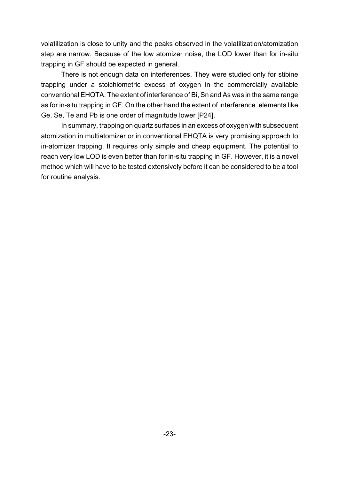volatilization is close to unity and the peaks observed in the volatilization/atomization step are narrow. Because of the low atomizer noise, the LOD lower than for in-situ trapping in GF should be expected in general.

There is not enough data on interferences. They were studied only for stibine trapping under a stoichiometric excess of oxygen in the commercially available conventional EHQTA. The extent of interference of Bi, Sn and As was in the same range as for in-situ trapping in GF. On the other hand the extent of interference elements like Ge, Se, Te and Pb is one order of magnitude lower [P24].

In summary, trapping on quartz surfaces in an excess of oxygen with subsequent atomization in multiatomizer or in conventional EHQTA is very promising approach to in-atomizer trapping. It requires only simple and cheap equipment. The potential to reach very low LOD is even better than for in-situ trapping in GF. However, it is a novel method which will have to be tested extensively before it can be considered to be a tool for routine analysis.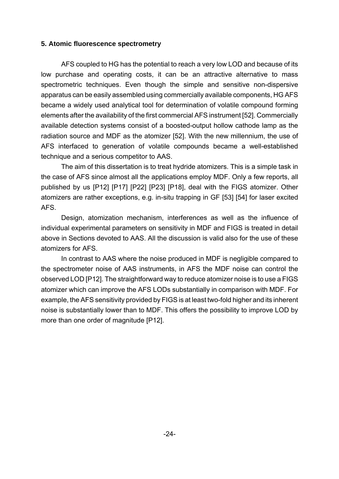#### **5. Atomic fluorescence spectrometry**

AFS coupled to HG has the potential to reach a very low LOD and because of its low purchase and operating costs, it can be an attractive alternative to mass spectrometric techniques. Even though the simple and sensitive non-dispersive apparatus can be easily assembled using commercially available components, HG AFS became a widely used analytical tool for determination of volatile compound forming elements after the availability of the first commercial AFS instrument [52]. Commercially available detection systems consist of a boosted-output hollow cathode lamp as the radiation source and MDF as the atomizer [52]. With the new millennium, the use of AFS interfaced to generation of volatile compounds became a well-established technique and a serious competitor to AAS.

The aim of this dissertation is to treat hydride atomizers. This is a simple task in the case of AFS since almost all the applications employ MDF. Only a few reports, all published by us [P12] [P17] [P22] [P23] [P18], deal with the FIGS atomizer. Other atomizers are rather exceptions, e.g. in-situ trapping in GF [53] [54] for laser excited AFS.

Design, atomization mechanism, interferences as well as the influence of individual experimental parameters on sensitivity in MDF and FIGS is treated in detail above in Sections devoted to AAS. All the discussion is valid also for the use of these atomizers for AFS.

In contrast to AAS where the noise produced in MDF is negligible compared to the spectrometer noise of AAS instruments, in AFS the MDF noise can control the observed LOD [P12]. The straightforward way to reduce atomizer noise is to use a FIGS atomizer which can improve the AFS LODs substantially in comparison with MDF. For example, the AFS sensitivity provided by FIGS is at least two-fold higher and its inherent noise is substantially lower than to MDF. This offers the possibility to improve LOD by more than one order of magnitude [P12].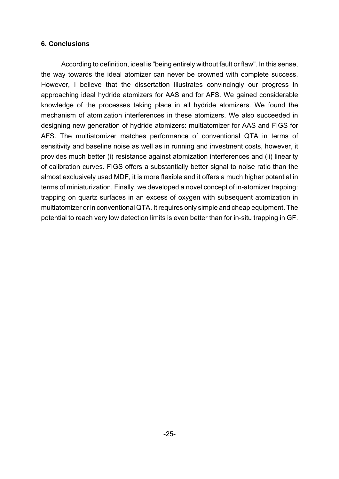#### **6. Conclusions**

According to definition, ideal is "being entirely without fault or flaw". In this sense, the way towards the ideal atomizer can never be crowned with complete success. However, I believe that the dissertation illustrates convincingly our progress in approaching ideal hydride atomizers for AAS and for AFS. We gained considerable knowledge of the processes taking place in all hydride atomizers. We found the mechanism of atomization interferences in these atomizers. We also succeeded in designing new generation of hydride atomizers: multiatomizer for AAS and FIGS for AFS. The multiatomizer matches performance of conventional QTA in terms of sensitivity and baseline noise as well as in running and investment costs, however, it provides much better (i) resistance against atomization interferences and (ii) linearity of calibration curves. FIGS offers a substantially better signal to noise ratio than the almost exclusively used MDF, it is more flexible and it offers a much higher potential in terms of miniaturization. Finally, we developed a novel concept of in-atomizer trapping: trapping on quartz surfaces in an excess of oxygen with subsequent atomization in multiatomizer or in conventional QTA. It requires only simple and cheap equipment. The potential to reach very low detection limits is even better than for in-situ trapping in GF.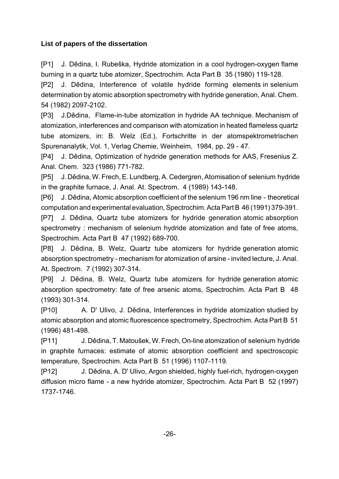# **List of papers of the dissertation**

[P1] J. Dědina, I. Rubeška, Hydride atomization in a cool hydrogen-oxygen flame burning in a quartz tube atomizer, Spectrochim. Acta Part B 35 (1980) 119-128.

[P2] J. Dědina, Interference of volatile hydride forming elements in selenium determination by atomic absorption spectrometry with hydride generation, Anal. Chem. 54 (1982) 2097-2102.

[P3] J.Dědina, Flame-in-tube atomization in hydride AA technique. Mechanism of atomization, interferences and comparison with atomization in heated flameless quartz tube atomizers, in: B. Welz (Ed.), Fortschritte in der atomspektrometrischen Spurenanalytik, Vol. 1, Verlag Chemie, Weinheim, 1984, pp. 29 - 47.

[P4] J. Dědina, Optimization of hydride generation methods for AAS, Fresenius Z. Anal. Chem. 323 (1986) 771-782.

[P5] J. Dědina, W. Frech, E. Lundberg, A. Cedergren, Atomisation of selenium hydride in the graphite furnace, J. Anal. At. Spectrom. 4 (1989) 143-148.

[P6] J. Dědina, Atomic absorption coefficient of the selenium 196 nm line - theoretical computation and experimental evaluation, Spectrochim. Acta Part B 46 (1991) 379-391.

[P7] J. Dědina, Quartz tube atomizers for hydride generation atomic absorption spectrometry : mechanism of selenium hydride atomization and fate of free atoms, Spectrochim. Acta Part B 47 (1992) 689-700.

[P8] J. Dědina, B. Welz, Quartz tube atomizers for hydride generation atomic absorption spectrometry - mechanism for atomization of arsine - invited lecture, J. Anal. At. Spectrom. 7 (1992) 307-314.

[P9] J. Dědina, B. Welz, Quartz tube atomizers for hydride generation atomic absorption spectrometry: fate of free arsenic atoms, Spectrochim. Acta Part B 48 (1993) 301-314.

[P10] A. D' Ulivo, J. Dědina, Interferences in hydride atomization studied by atomic absorption and atomic fluorescence spectrometry, Spectrochim. Acta Part B 51 (1996) 481-498.

[P11] J. Dědina, T. Matoušek, W. Frech, On-line atomization of selenium hydride in graphite furnaces: estimate of atomic absorption coefficient and spectroscopic temperature, Spectrochim. Acta Part B 51 (1996) 1107-1119.

[P12] J. Dědina, A. D' Ulivo, Argon shielded, highly fuel-rich, hydrogen-oxygen diffusion micro flame - a new hydride atomizer, Spectrochim. Acta Part B 52 (1997) 1737-1746.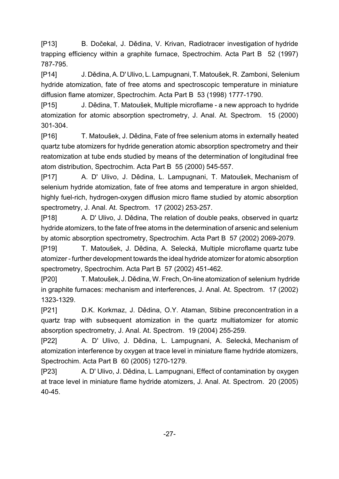[P13] B. Dočekal, J. Dědina, V. Krivan, Radiotracer investigation of hydride trapping efficiency within a graphite furnace, Spectrochim. Acta Part B 52 (1997) 787-795.

[P14] J. Dědina, A. D' Ulivo, L. Lampugnani, T. Matoušek, R. Zamboni, Selenium hydride atomization, fate of free atoms and spectroscopic temperature in miniature diffusion flame atomizer, Spectrochim. Acta Part B 53 (1998) 1777-1790.

[P15] J. Dědina, T. Matoušek, Multiple microflame - a new approach to hydride atomization for atomic absorption spectrometry, J. Anal. At. Spectrom. 15 (2000) 301-304.

[P16] T. Matoušek, J. Dědina, Fate of free selenium atoms in externally heated quartz tube atomizers for hydride generation atomic absorption spectrometry and their reatomization at tube ends studied by means of the determination of longitudinal free atom distribution, Spectrochim. Acta Part B 55 (2000) 545-557.

[P17] A. D' Ulivo, J. Dědina, L. Lampugnani, T. Matoušek, Mechanism of selenium hydride atomization, fate of free atoms and temperature in argon shielded, highly fuel-rich, hydrogen-oxygen diffusion micro flame studied by atomic absorption spectrometry, J. Anal. At. Spectrom. 17 (2002) 253-257.

[P18] A. D' Ulivo, J. Dědina, The relation of double peaks, observed in quartz hydride atomizers, to the fate of free atoms in the determination of arsenic and selenium by atomic absorption spectrometry, Spectrochim. Acta Part B 57 (2002) 2069-2079.

[P19] T. Matoušek, J. Dědina, A. Selecká, Multiple microflame quartz tube atomizer - further development towards the ideal hydride atomizer for atomic absorption spectrometry, Spectrochim. Acta Part B 57 (2002) 451-462.

[P20] T. Matoušek, J. Dědina, W. Frech, On-line atomization of selenium hydride in graphite furnaces: mechanism and interferences, J. Anal. At. Spectrom. 17 (2002) 1323-1329.

[P21] D.K. Korkmaz, J. Dědina, O.Y. Ataman, Stibine preconcentration in a quartz trap with subsequent atomization in the quartz multiatomizer for atomic absorption spectrometry, J. Anal. At. Spectrom. 19 (2004) 255-259.

[P22] A. D' Ulivo, J. Dědina, L. Lampugnani, A. Selecká, Mechanism of atomization interference by oxygen at trace level in miniature flame hydride atomizers, Spectrochim. Acta Part B 60 (2005) 1270-1279.

[P23] A. D' Ulivo, J. Dědina, L. Lampugnani, Effect of contamination by oxygen at trace level in miniature flame hydride atomizers, J. Anal. At. Spectrom. 20 (2005) 40-45.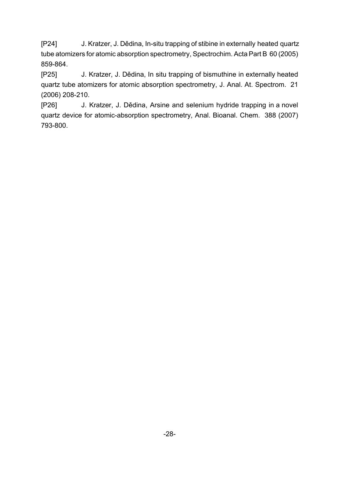[P24] J. Kratzer, J. Dědina, In-situ trapping of stibine in externally heated quartz tube atomizers for atomic absorption spectrometry, Spectrochim. Acta Part B 60 (2005) 859-864.

[P25] J. Kratzer, J. Dědina, In situ trapping of bismuthine in externally heated quartz tube atomizers for atomic absorption spectrometry, J. Anal. At. Spectrom. 21 (2006) 208-210.

[P26] J. Kratzer, J. Dědina, Arsine and selenium hydride trapping in a novel quartz device for atomic-absorption spectrometry, Anal. Bioanal. Chem. 388 (2007) 793-800.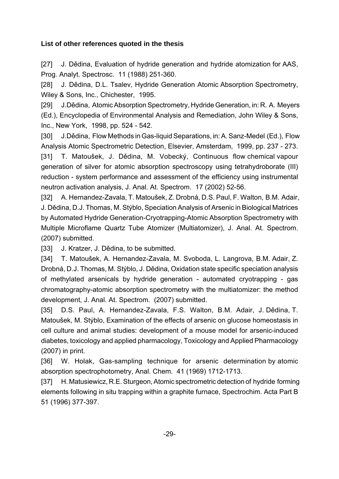## **List of other references quoted in the thesis**

[27] J. Dědina, Evaluation of hydride generation and hydride atomization for AAS, Prog. Analyt. Spectrosc. 11 (1988) 251-360.

[28] J. Dědina, D.L. Tsalev, Hydride Generation Atomic Absorption Spectrometry, Wiley & Sons, Inc., Chichester, 1995.

[29] J.Dědina, Atomic Absorption Spectrometry, Hydride Generation, in: R. A. Meyers (Ed.), Encyclopedia of Environmental Analysis and Remediation, John Wiley & Sons, Inc., New York, 1998, pp. 524 - 542.

[30] J.Dědina, Flow Methods in Gas-liquid Separations, in: A. Sanz-Medel (Ed.), Flow Analysis Atomic Spectrometric Detection, Elsevier, Amsterdam, 1999, pp. 237 - 273. [31] T. Matoušek, J. Dědina, M. Vobecký, Continuous flow chemical vapour generation of silver for atomic absorption spectroscopy using tetrahydroborate (III) reduction - system performance and assessment of the efficiency using instrumental neutron activation analysis, J. Anal. At. Spectrom. 17 (2002) 52-56.

[32] A. Hernandez-Zavala, T. Matoušek, Z. Drobná, D.S. Paul, F. Walton, B.M. Adair, J. Dědina, D.J. Thomas, M. Stýblo, Speciation Analysis of Arsenic in Biological Matrices by Automated Hydride Generation-Cryotrapping-Atomic Absorption Spectrometry with Multiple Microflame Quartz Tube Atomizer (Multiatomizer), J. Anal. At. Spectrom. (2007) submitted.

[33] J. Kratzer, J. Dědina, to be submitted.

[34] T. Matoušek, A. Hernandez-Zavala, M. Svoboda, L. Langrova, B.M. Adair, Z. Drobná, D.J. Thomas, M. Stýblo, J. Dědina, Oxidation state specific speciation analysis of methylated arsenicals by hydride generation - automated cryotrapping - gas chromatography-atomic absorption spectrometry with the multiatomizer: the method development, J. Anal. At. Spectrom. (2007) submitted.

[35] D.S. Paul, A. Hernandez-Zavala, F.S. Walton, B.M. Adair, J. Dědina, T. Matoušek, M. Stýblo, Examination of the effects of arsenic on glucose homeostasis in cell culture and animal studies: development of a mouse model for arsenic-induced diabetes, toxicology and applied pharmacology, Toxicology and Applied Pharmacology (2007) in print.

[36] W. Holak, Gas-sampling technique for arsenic determination by atomic absorption spectrophotometry, Anal. Chem. 41 (1969) 1712-1713.

[37] H. Matusiewicz, R.E. Sturgeon, Atomic spectrometric detection of hydride forming elements following in situ trapping within a graphite furnace, Spectrochim. Acta Part B 51 (1996) 377-397.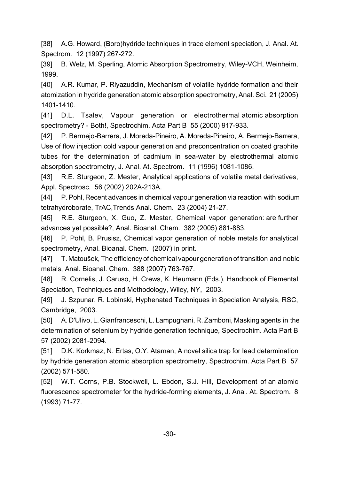[38] A.G. Howard, (Boro)hydride techniques in trace element speciation, J. Anal. At. Spectrom. 12 (1997) 267-272.

[39] B. Welz, M. Sperling, Atomic Absorption Spectrometry, Wiley-VCH, Weinheim, 1999.

[40] A.R. Kumar, P. Riyazuddin, Mechanism of volatile hydride formation and their atomization in hydride generation atomic absorption spectrometry, Anal. Sci. 21 (2005) 1401-1410.

[41] D.L. Tsalev, Vapour generation or electrothermal atomic absorption spectrometry? - Both!, Spectrochim. Acta Part B 55 (2000) 917-933.

[42] P. Bermejo-Barrera, J. Moreda-Pineiro, A. Moreda-Pineiro, A. Bermejo-Barrera, Use of flow injection cold vapour generation and preconcentration on coated graphite tubes for the determination of cadmium in sea-water by electrothermal atomic absorption spectrometry, J. Anal. At. Spectrom. 11 (1996) 1081-1086.

[43] R.E. Sturgeon, Z. Mester, Analytical applications of volatile metal derivatives, Appl. Spectrosc. 56 (2002) 202A-213A.

[44] P. Pohl, Recent advances in chemical vapour generation via reaction with sodium tetrahydroborate, TrAC,Trends Anal. Chem. 23 (2004) 21-27.

[45] R.E. Sturgeon, X. Guo, Z. Mester, Chemical vapor generation: are further advances yet possible?, Anal. Bioanal. Chem. 382 (2005) 881-883.

[46] P. Pohl, B. Prusisz, Chemical vapor generation of noble metals for analytical spectrometry, Anal. Bioanal. Chem. (2007) in print.

[47] T. Matoušek, The efficiency of chemical vapour generation of transition and noble metals, Anal. Bioanal. Chem. 388 (2007) 763-767.

[48] R. Cornelis, J. Caruso, H. Crews, K. Heumann (Eds.), Handbook of Elemental Speciation, Techniques and Methodology, Wiley, NY, 2003.

[49] J. Szpunar, R. Lobinski, Hyphenated Techniques in Speciation Analysis, RSC, Cambridge, 2003.

[50] A. D'Ulivo, L. Gianfranceschi, L. Lampugnani, R. Zamboni, Masking agents in the determination of selenium by hydride generation technique, Spectrochim. Acta Part B 57 (2002) 2081-2094.

[51] D.K. Korkmaz, N. Ertas, O.Y. Ataman, A novel silica trap for lead determination by hydride generation atomic absorption spectrometry, Spectrochim. Acta Part B 57 (2002) 571-580.

[52] W.T. Corns, P.B. Stockwell, L. Ebdon, S.J. Hill, Development of an atomic fluorescence spectrometer for the hydride-forming elements, J. Anal. At. Spectrom. 8 (1993) 71-77.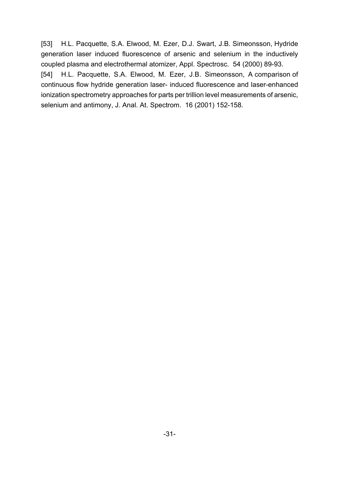[53] H.L. Pacquette, S.A. Elwood, M. Ezer, D.J. Swart, J.B. Simeonsson, Hydride generation laser induced fluorescence of arsenic and selenium in the inductively coupled plasma and electrothermal atomizer, Appl. Spectrosc. 54 (2000) 89-93. [54] H.L. Pacquette, S.A. Elwood, M. Ezer, J.B. Simeonsson, A comparison of continuous flow hydride generation laser- induced fluorescence and laser-enhanced ionization spectrometry approaches for parts per trillion level measurements of arsenic, selenium and antimony, J. Anal. At. Spectrom. 16 (2001) 152-158.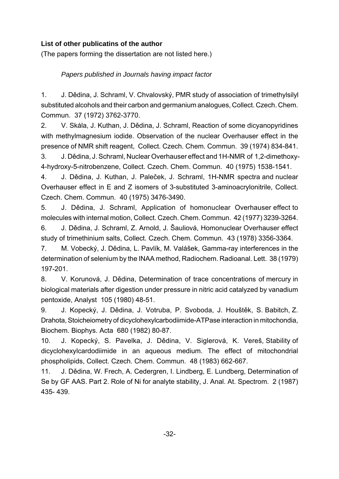# **List of other publicatins of the author**

(The papers forming the dissertation are not listed here.)

# *Papers published in Journals having impact factor*

1. J. Dědina, J. Schraml, V. Chvalovský, PMR study of association of trimethylsilyl substituted alcohols and their carbon and germanium analogues, Collect. Czech. Chem. Commun. 37 (1972) 3762-3770.

2. V. Skála, J. Kuthan, J. Dědina, J. Schraml, Reaction of some dicyanopyridines with methylmagnesium iodide. Observation of the nuclear Overhauser effect in the presence of NMR shift reagent, Collect. Czech. Chem. Commun. 39 (1974) 834-841.

3. J. Dědina, J. Schraml, Nuclear Overhauser effect and 1H-NMR of 1,2-dimethoxy-4-hydroxy-5-nitrobenzene, Collect. Czech. Chem. Commun. 40 (1975) 1538-1541.

4. J. Dědina, J. Kuthan, J. Paleček, J. Schraml, 1H-NMR spectra and nuclear Overhauser effect in E and Z isomers of 3-substituted 3-aminoacrylonitrile, Collect. Czech. Chem. Commun. 40 (1975) 3476-3490.

5. J. Dědina, J. Schraml, Application of homonuclear Overhauser effect to molecules with internal motion, Collect. Czech. Chem. Commun. 42 (1977) 3239-3264. 6. J. Dědina, J. Schraml, Z. Arnold, J. Šauliová, Homonuclear Overhauser effect

study of trimethinium salts, Collect. Czech. Chem. Commun. 43 (1978) 3356-3364.

7. M. Vobecký, J. Dědina, L. Pavlík, M. Valášek, Gamma-ray interferences in the determination of selenium by the INAA method, Radiochem. Radioanal. Lett. 38 (1979) 197-201.

8. V. Korunová, J. Dědina, Determination of trace concentrations of mercury in biological materials after digestion under pressure in nitric acid catalyzed by vanadium pentoxide, Analyst 105 (1980) 48-51.

9. J. Kopecký, J. Dědina, J. Votruba, P. Svoboda, J. Houštěk, S. Babitch, Z. Drahota, Stoicheiometry of dicyclohexylcarbodiimide-ATPase interaction in mitochondia, Biochem. Biophys. Acta 680 (1982) 80-87.

10. J. Kopecký, S. Pavelka, J. Dědina, V. Siglerová, K. Vereš, Stability of dicyclohexylcardodiimide in an aqueous medium. The effect of mitochondrial phospholipids, Collect. Czech. Chem. Commun. 48 (1983) 662-667.

11. J. Dědina, W. Frech, A. Cedergren, I. Lindberg, E. Lundberg, Determination of Se by GF AAS. Part 2. Role of Ni for analyte stability, J. Anal. At. Spectrom. 2 (1987) 435- 439.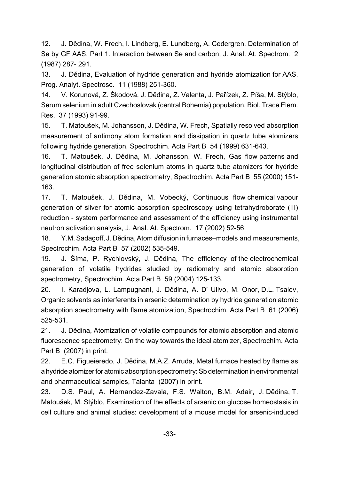12. J. Dědina, W. Frech, I. Lindberg, E. Lundberg, A. Cedergren, Determination of Se by GF AAS. Part 1. Interaction between Se and carbon, J. Anal. At. Spectrom. 2 (1987) 287- 291.

13. J. Dědina, Evaluation of hydride generation and hydride atomization for AAS, Prog. Analyt. Spectrosc. 11 (1988) 251-360.

14. V. Korunová, Z. Škodová, J. Dědina, Z. Valenta, J. Pařízek, Z. Píša, M. Stýblo, Serum selenium in adult Czechoslovak (central Bohemia) population, Biol. Trace Elem. Res. 37 (1993) 91-99.

15. T. Matoušek, M. Johansson, J. Dědina, W. Frech, Spatially resolved absorption measurement of antimony atom formation and dissipation in quartz tube atomizers following hydride generation, Spectrochim. Acta Part B 54 (1999) 631-643.

16. T. Matoušek, J. Dědina, M. Johansson, W. Frech, Gas flow patterns and longitudinal distribution of free selenium atoms in quartz tube atomizers for hydride generation atomic absorption spectrometry, Spectrochim. Acta Part B 55 (2000) 151- 163.

17. T. Matoušek, J. Dědina, M. Vobecký, Continuous flow chemical vapour generation of silver for atomic absorption spectroscopy using tetrahydroborate (III) reduction - system performance and assessment of the efficiency using instrumental neutron activation analysis, J. Anal. At. Spectrom. 17 (2002) 52-56.

18. Y.M. Sadagoff, J. Dědina, Atom diffusion in furnaces–models and measurements, Spectrochim. Acta Part B 57 (2002) 535-549.

19. J. Šíma, P. Rychlovský, J. Dědina, The efficiency of the electrochemical generation of volatile hydrides studied by radiometry and atomic absorption spectrometry, Spectrochim. Acta Part B 59 (2004) 125-133.

20. I. Karadjova, L. Lampugnani, J. Dědina, A. D' Ulivo, M. Onor, D.L. Tsalev, Organic solvents as interferents in arsenic determination by hydride generation atomic absorption spectrometry with flame atomization, Spectrochim. Acta Part B 61 (2006) 525-531.

21. J. Dědina, Atomization of volatile compounds for atomic absorption and atomic fluorescence spectrometry: On the way towards the ideal atomizer, Spectrochim. Acta Part B (2007) in print.

22. E.C. Figueieredo, J. Dědina, M.A.Z. Arruda, Metal furnace heated by flame as a hydride atomizer for atomic absorption spectrometry: Sb determination in environmental and pharmaceutical samples, Talanta (2007) in print.

23. D.S. Paul, A. Hernandez-Zavala, F.S. Walton, B.M. Adair, J. Dědina, T. Matoušek, M. Stýblo, Examination of the effects of arsenic on glucose homeostasis in cell culture and animal studies: development of a mouse model for arsenic-induced